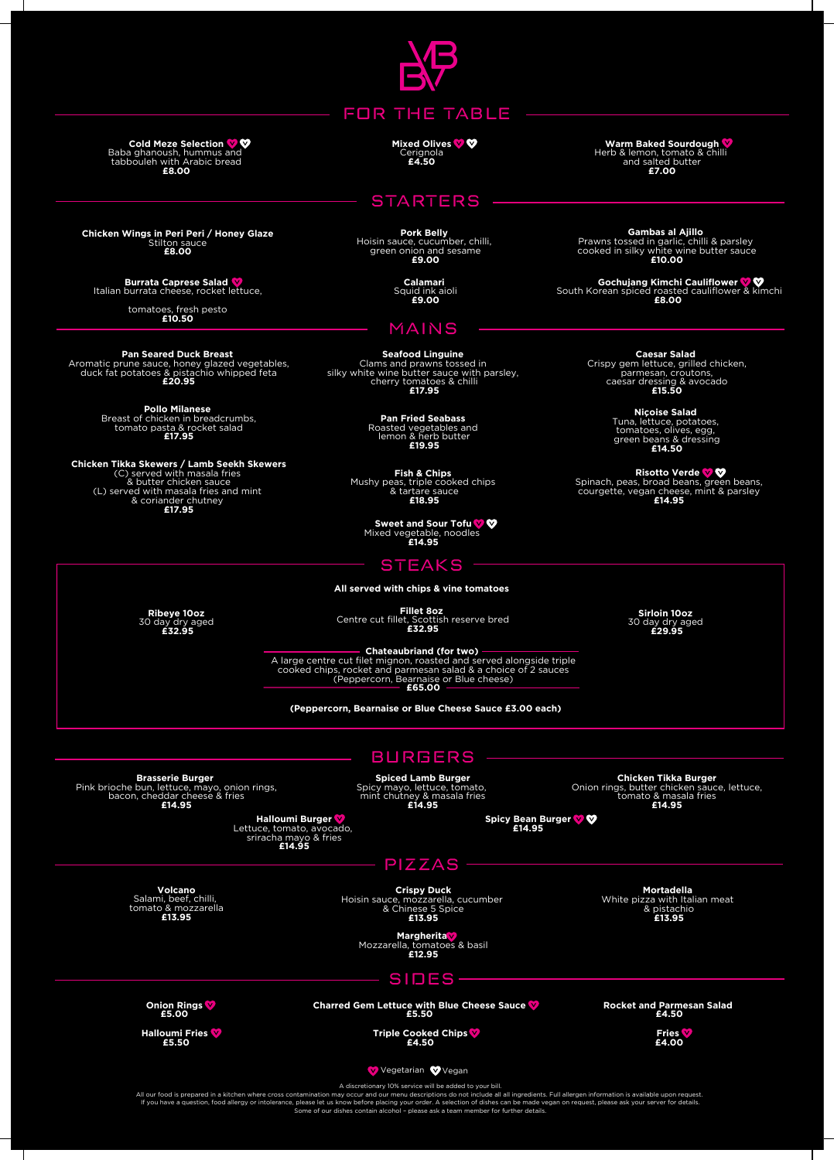

FOR THE TABLE

**Mixed Olives** Cerignola **£4.50**

**STARTERS** 

**Pork Belly**<br>Hoisin sauce, cucumber, chilli,<br>green onion and sesame<br>**£9.00** 

**Calamari** Squid ink aioli **£9.00**

## MAINS

**Seafood Linguine**<br>Clams and prawns tossed in<br>silky white wine butter sauce with parsley,<br>cherry tomatoes & chilli<br>**£17.95** 

**Pan Fried Seabass** Roasted vegetables and lemon & herb butter **£19.95**

**Fish & Chips** Mushy peas, triple cooked chips & tartare sauce **£18.95**

**Sweet and Sour Tofu** Mixed vegetable, noodles **£14.95**

## **STEAKS**

**Ribeye 10oz** 30 day dry aged **£32.95**

**Fillet 8oz** Centre cut fillet, Scottish reserve bred **£32.95**

- Chateaubriand (for two)<br>A large centre cut filet mignon, roasted and served alongside triple<br>cooked chips, rocket and parmeasan salad & a choice of 2 sauces<br>(Peppercorn, Bearnaise or Blue cheese)<br>**E65.00** 

**(Peppercorn, Bearnaise or Blue Cheese Sauce £3.00 each)**

BURGERS

**Spiced Lamb Burger** Spicy mayo, lettuce, tomato, mint chutney & masala fries **£14.95** **Chicken Tikka Burger**<br>Onion rings, butter chicken sauce, lettuce,<br>tomato & masala fries<br>**£14.95** 

**Spicy Bean Burger £14.95**

Pink brioche bun, lettuce, mayo, onion rings, bacon, cheddar cheese & fries **£14.95 Halloumi Burger** Lettuce, tomato, avocado, sriracha mayo & fries **£14.95**

PIZZAS

**Volcano** Salami, beef, chilli, tomato & mozzarella **£13.95**

**Brasserie Burger**

**Crispy Duck** Hoisin sauce, mozzarella, cucumber & Chinese 5 Spice **£13.95**

**Mortadella**<br>White pizza with Italian meat<br>**£13.95**<br>**£13.95** 

**Margherita** Mozzarella, tomatoes & basil **£12.95**

SIDES

**Onion Rings £5.00**

**Halloumi Fries £5.50**

**Charred Gem Lettuce with Blue Cheese Sauce £5.50**

**Triple Cooked Chips £4.50**

**Rocket and Parmesan Salad £4.50**

**Fries £4.00**

Vegetarian VVegan

A discretionary 10% service will be added to your bill.<br>All our food is prepared in a kitchen where cross contamination may occur and our menu descriptions do not include all all ingredients. Full allergen information is a

**Cold Meze Selection** Baba ghanoush, hummus and tabbouleh with Arabic bread **£8.00**

**Chicken Wings in Peri Peri / Honey Glaze** Stilton sauce **£8.00**

**Burrata Caprese Salad** Italian burrata cheese, rocket lettuce,

tomatoes, fresh pesto **£10.50**

**Pan Seared Duck Breast**<br>Aromatic prune sauce, honey glazed vegetables,<br>duck fat potatoes & pistachio whipped feta<br>**£20.95** 

**Pollo Milanese** Breast of chicken in breadcrumbs, tomato pasta & rocket salad **£17.95**

**Chicken Tikka Skewers / Lamb Seekh Skewers**<br>
(C) served with masala fries<br>
(L) served with masala fries and mint<br>
& coriander chutney<br> **£17.95**<br> **£17.95** 

**Warm Baked Sourdough** Herb & lemon, tomato & chilli and salted butter **£7.00**

**Gambas al Ajillo**<br>Prawns tossed in garlic, chilli & parsley<br>cooked in silky white wine butter sauce<br>**£10.00** 

**Gochujang Kimchi Cauliflower** South Korean spiced roasted cauliflower & kimchi **£8.00**

**Caesar Salad**<br>
Crispy gem lettuce, grilled chicken,<br>
parmesan, croutons,<br>
caesar dressing & avocado<br> **£15.50** 

**Niçoise Salad** Tuna, lettuce, potatoes, tomatoes, olives, egg, green beans & dressing **£14.50**

**Risotto Verde** Spinach, peas, broad beans, green beans, courgette, vegan cheese, mint & parsley **£14.95**

**Sirloin 10oz** 30 day dry aged **£29.95**

**All served with chips & vine tomatoes**